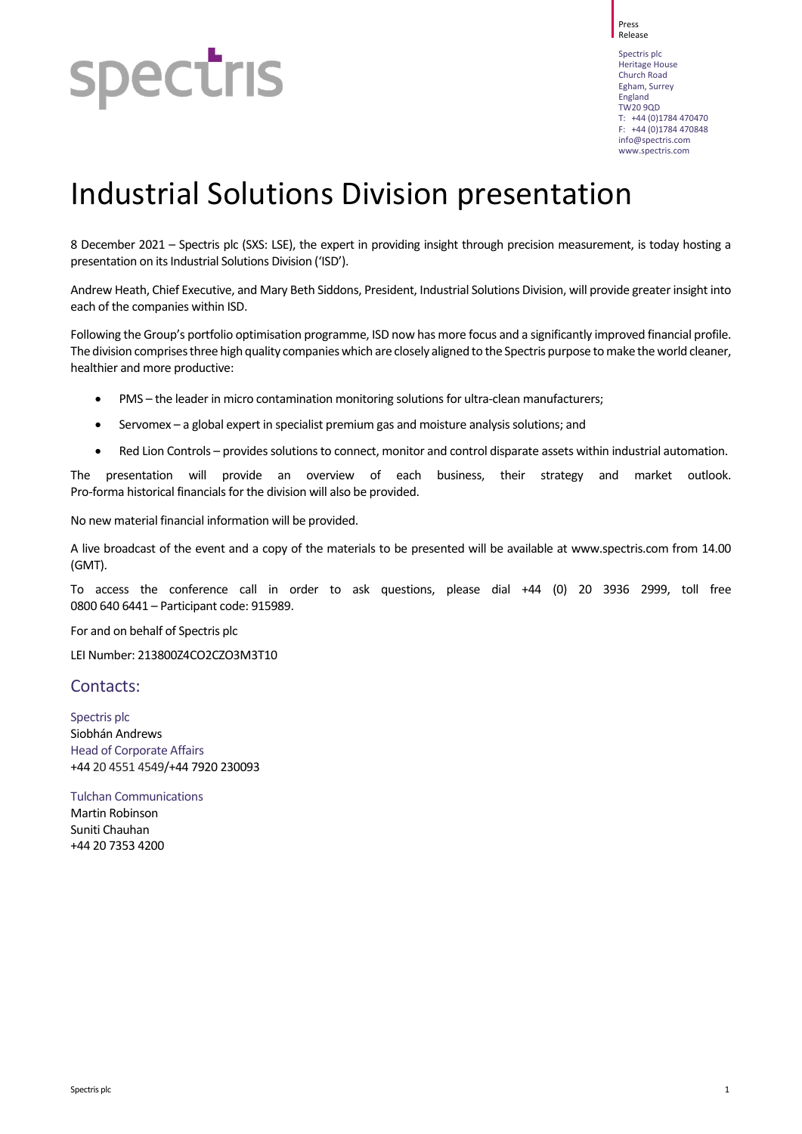## spectris

Release Spectris plc Heritage House Church Road Egham, Surrey England TW20 9QD T: +44 (0)1784 470470  $F: +44 (0)1784 470848$ [info@spectris.com](mailto:info@spectris.com) www.spectris.com

Press

## Industrial Solutions Division presentation

8 December 2021 – Spectris plc (SXS: LSE), the expert in providing insight through precision measurement, is today hosting a presentation on its Industrial Solutions Division ('ISD').

Andrew Heath, Chief Executive, and Mary Beth Siddons, President, Industrial Solutions Division, will provide greater insight into each of the companies within ISD.

Following the Group's portfolio optimisation programme, ISD now has more focus and a significantly improved financial profile. The division comprises three high quality companies which are closely aligned to the Spectris purpose to make the world cleaner. healthier and more productive:

- PMS the leader in micro contamination monitoring solutions for ultra-clean manufacturers;
- Servomex a global expert in specialist premium gas and moisture analysis solutions; and
- Red Lion Controls provides solutions to connect, monitor and control disparate assets within industrial automation.

The presentation will provide an overview of each business, their strategy and market outlook. Pro-forma historical financials for the division will also be provided.

No new material financial information will be provided.

A live broadcast of the event and a copy of the materials to be presented will be available at [www.spectris.com](http://www.spectris.com/) from 14.00 (GMT).

To access the conference call in order to ask questions, please dial +44 (0) 20 3936 2999, toll free 0800 640 6441 – Participant code: 915989.

For and on behalf of Spectris plc

LEI Number: 213800Z4CO2CZO3M3T10

## Contacts:

Spectris plc Siobhán Andrews Head of Corporate Affairs +44 20 4551 4549/+44 7920 230093

Tulchan Communications Martin Robinson Suniti Chauhan +44 20 7353 4200